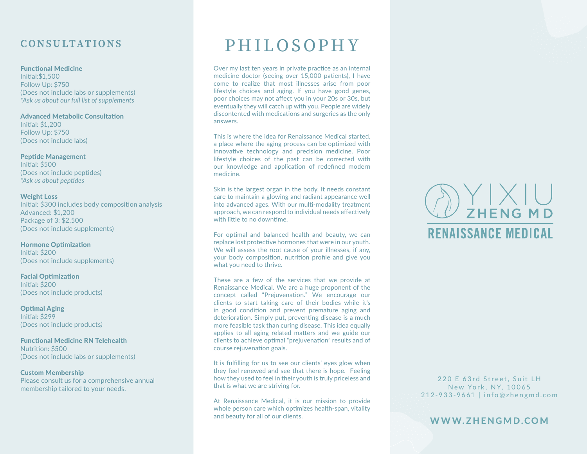### **CONSULTATIONS**

### Functional Medicine

Initial:\$1,500 Follow Up: \$750 (Does not include labs or supplements) *\*Ask us about our full list of supplements* 

Advanced Metabolic Consultation Initial: \$1,200 Follow Up: \$750 (Does not include labs)

Peptide Management Initial: \$500 (Does not include peptides) *\*Ask us about peptides* 

### Weight Loss

Initial: \$300 includes body composition analysis Advanced: \$1,200 Package of 3: \$2,500 (Does not include supplements)

Hormone Optimization Initial: \$200 (Does not include supplements)

Facial Optimization Initial: \$200 (Does not include products)

Optimal Aging Initial: \$299 (Does not include products*)*

Functional Medicine RN Telehealth Nutrition: \$500 (Does not include labs or supplements)

### Custom Membership

Please consult us for a comprehensive annual membership tailored to your needs.

## PHILOSOPHY

Over my last ten years in private practice as an internal medicine doctor (seeing over 15,000 patients), I have come to realize that most illnesses arise from poor lifestyle choices and aging. If you have good genes, poor choices may not affect you in your 20s or 30s, but eventually they will catch up with you. People are widely discontented with medications and surgeries as the only answers.

This is where the idea for Renaissance Medical started, a place where the aging process can be optimized with innovative technology and precision medicine. Poor lifestyle choices of the past can be corrected with our knowledge and application of redefined modern medicine.

Skin is the largest organ in the body. It needs constant care to maintain a glowing and radiant appearance well into advanced ages. With our multi-modality treatment approach, we can respond to individual needs effectively with little to no downtime.

For optimal and balanced health and beauty, we can replace lost protective hormones that were in our youth. We will assess the root cause of your illnesses, if any, your body composition, nutrition profile and give you what you need to thrive.

These are a few of the services that we provide at Renaissance Medical. We are a huge proponent of the concept called "Prejuvenation." We encourage our clients to start taking care of their bodies while it's in good condition and prevent premature aging and deterioration. Simply put, preventing disease is a much more feasible task than curing disease. This idea equally applies to all aging related matters and we guide our clients to achieve optimal "prejuvenation" results and of course rejuvenation goals.

It is fulfilling for us to see our clients' eyes glow when they feel renewed and see that there is hope. Feeling how they used to feel in their youth is truly priceless and that is what we are striving for.

At Renaissance Medical, it is our mission to provide whole person care which optimizes health-span, vitality and beauty for all of our clients.

# $\sum$   $\sum$   $\sum$   $\sum$   $\sum$   $\sum$   $\sum$   $\sum$ **RENAISSANCE MEDICAL**

220 E 63rd Street, Suit LH New York, NY, 10065 212-933-9661 | info@zhengmd.com

WWW.ZHENGMD.COM